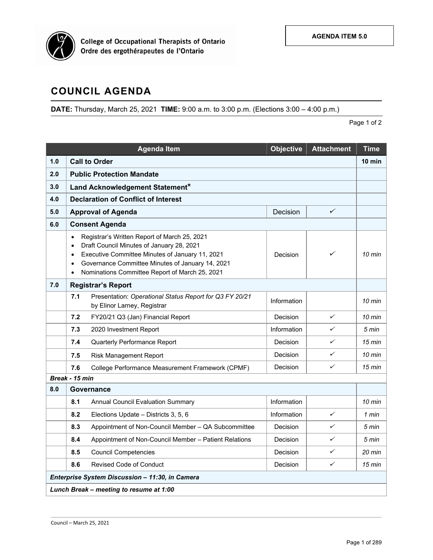

## **COUNCIL AGENDA**

**DATE:** Thursday, March 25, 2021 **TIME:** 9:00 a.m. to 3:00 p.m. (Elections 3:00 – 4:00 p.m.)Page 1 of 2

|                                                 | <b>Agenda Item</b>                                                                                                                                                                                                                                                                                                  | <b>Objective</b> | <b>Attachment</b> | <b>Time</b>      |  |  |
|-------------------------------------------------|---------------------------------------------------------------------------------------------------------------------------------------------------------------------------------------------------------------------------------------------------------------------------------------------------------------------|------------------|-------------------|------------------|--|--|
| 1.0                                             | <b>Call to Order</b>                                                                                                                                                                                                                                                                                                |                  |                   |                  |  |  |
| 2.0                                             | <b>Public Protection Mandate</b>                                                                                                                                                                                                                                                                                    |                  |                   |                  |  |  |
| 3.0                                             | Land Acknowledgement Statement*                                                                                                                                                                                                                                                                                     |                  |                   |                  |  |  |
| 4.0                                             | <b>Declaration of Conflict of Interest</b>                                                                                                                                                                                                                                                                          |                  |                   |                  |  |  |
| 5.0                                             | <b>Approval of Agenda</b>                                                                                                                                                                                                                                                                                           | Decision         | ✓                 |                  |  |  |
| 6.0                                             | <b>Consent Agenda</b>                                                                                                                                                                                                                                                                                               |                  |                   |                  |  |  |
|                                                 | Registrar's Written Report of March 25, 2021<br>$\bullet$<br>Draft Council Minutes of January 28, 2021<br>$\bullet$<br>Executive Committee Minutes of January 11, 2021<br>$\bullet$<br>Governance Committee Minutes of January 14, 2021<br>$\bullet$<br>Nominations Committee Report of March 25, 2021<br>$\bullet$ | Decision         | ✓                 | 10 min           |  |  |
| 7.0                                             | <b>Registrar's Report</b>                                                                                                                                                                                                                                                                                           |                  |                   |                  |  |  |
|                                                 | 7.1<br>Presentation: Operational Status Report for Q3 FY 20/21<br>by Elinor Larney, Registrar                                                                                                                                                                                                                       | Information      |                   | 10 min           |  |  |
|                                                 | 7.2<br>FY20/21 Q3 (Jan) Financial Report                                                                                                                                                                                                                                                                            | Decision         | ✓                 | $10 \text{ min}$ |  |  |
|                                                 | 7.3<br>2020 Investment Report                                                                                                                                                                                                                                                                                       | Information      | ✓                 | 5 min            |  |  |
|                                                 | 7.4<br>Quarterly Performance Report                                                                                                                                                                                                                                                                                 | Decision         | ✓                 | $15 \text{ min}$ |  |  |
|                                                 | 7.5<br><b>Risk Management Report</b>                                                                                                                                                                                                                                                                                | Decision         | ✓                 | $10$ min         |  |  |
|                                                 | 7.6<br>College Performance Measurement Framework (CPMF)                                                                                                                                                                                                                                                             | Decision         | ✓                 | $15 \text{ min}$ |  |  |
|                                                 | Break - 15 min                                                                                                                                                                                                                                                                                                      |                  |                   |                  |  |  |
| 8.0                                             | Governance                                                                                                                                                                                                                                                                                                          |                  |                   |                  |  |  |
|                                                 | 8.1<br><b>Annual Council Evaluation Summary</b>                                                                                                                                                                                                                                                                     | Information      |                   | $10$ min         |  |  |
|                                                 | 8.2<br>Elections Update - Districts 3, 5, 6                                                                                                                                                                                                                                                                         | Information      | ✓                 | 1 min            |  |  |
|                                                 | 8.3<br>Appointment of Non-Council Member - QA Subcommittee                                                                                                                                                                                                                                                          | Decision         | ✓                 | 5 min            |  |  |
|                                                 | Appointment of Non-Council Member - Patient Relations<br>8.4                                                                                                                                                                                                                                                        | Decision         | ✓                 | 5 min            |  |  |
|                                                 | 8.5<br><b>Council Competencies</b>                                                                                                                                                                                                                                                                                  | Decision         | ✓                 | 20 min           |  |  |
|                                                 | <b>Revised Code of Conduct</b><br>8.6                                                                                                                                                                                                                                                                               | Decision         | ✓                 | $15 \text{ min}$ |  |  |
| Enterprise System Discussion - 11:30, in Camera |                                                                                                                                                                                                                                                                                                                     |                  |                   |                  |  |  |
| Lunch Break - meeting to resume at 1:00         |                                                                                                                                                                                                                                                                                                                     |                  |                   |                  |  |  |